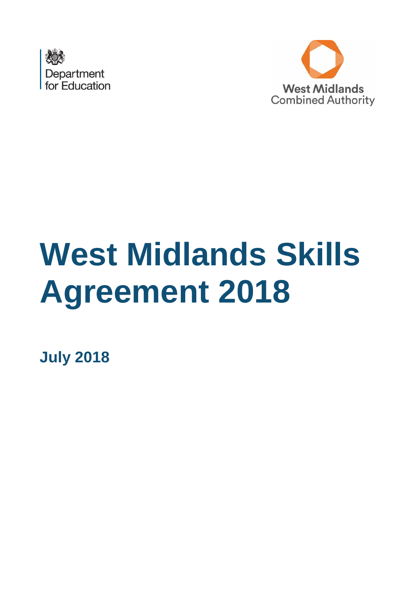



# **West Midlands Skills Agreement 2018**

**July 2018**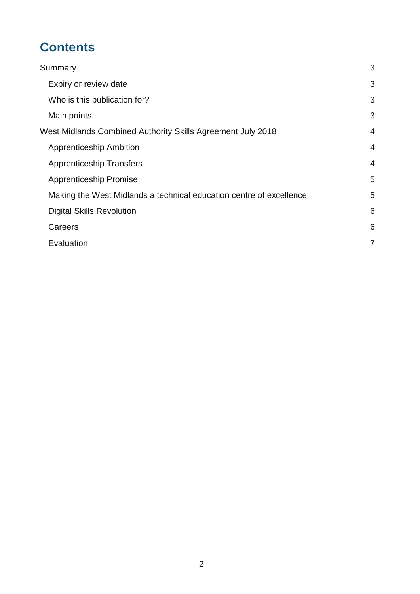# **Contents**

| Summary                                                             | 3              |
|---------------------------------------------------------------------|----------------|
| Expiry or review date                                               | 3              |
| Who is this publication for?                                        | 3              |
| Main points                                                         | 3              |
| West Midlands Combined Authority Skills Agreement July 2018         | $\overline{4}$ |
| <b>Apprenticeship Ambition</b>                                      | $\overline{4}$ |
| <b>Apprenticeship Transfers</b>                                     | $\overline{4}$ |
| <b>Apprenticeship Promise</b>                                       | 5              |
| Making the West Midlands a technical education centre of excellence | 5              |
| <b>Digital Skills Revolution</b>                                    | 6              |
| Careers                                                             | 6              |
| Evaluation                                                          | 7              |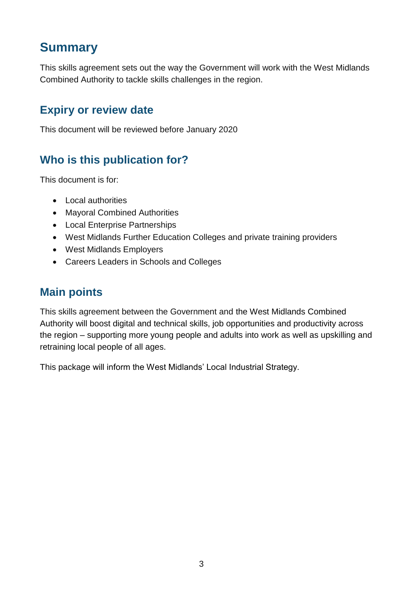# <span id="page-2-0"></span>**Summary**

This skills agreement sets out the way the Government will work with the West Midlands Combined Authority to tackle skills challenges in the region.

#### <span id="page-2-1"></span>**Expiry or review date**

This document will be reviewed before January 2020

## <span id="page-2-2"></span>**Who is this publication for?**

This document is for:

- Local authorities
- Mayoral Combined Authorities
- Local Enterprise Partnerships
- West Midlands Further Education Colleges and private training providers
- West Midlands Employers
- Careers Leaders in Schools and Colleges

## <span id="page-2-3"></span>**Main points**

This skills agreement between the Government and the West Midlands Combined Authority will boost digital and technical skills, job opportunities and productivity across the region – supporting more young people and adults into work as well as upskilling and retraining local people of all ages.

This package will inform the West Midlands' Local Industrial Strategy.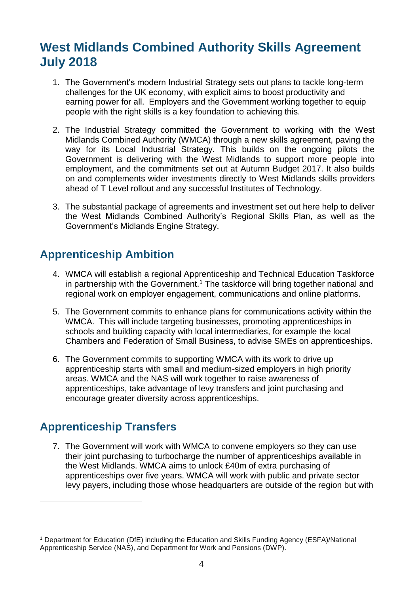# <span id="page-3-0"></span>**West Midlands Combined Authority Skills Agreement July 2018**

- 1. The Government's modern Industrial Strategy sets out plans to tackle long-term challenges for the UK economy, with explicit aims to boost productivity and earning power for all. Employers and the Government working together to equip people with the right skills is a key foundation to achieving this.
- 2. The Industrial Strategy committed the Government to working with the West Midlands Combined Authority (WMCA) through a new skills agreement, paving the way for its Local Industrial Strategy. This builds on the ongoing pilots the Government is delivering with the West Midlands to support more people into employment, and the commitments set out at Autumn Budget 2017. It also builds on and complements wider investments directly to West Midlands skills providers ahead of T Level rollout and any successful Institutes of Technology.
- 3. The substantial package of agreements and investment set out here help to deliver the West Midlands Combined Authority's Regional Skills Plan, as well as the Government's Midlands Engine Strategy.

#### <span id="page-3-1"></span>**Apprenticeship Ambition**

- 4. WMCA will establish a regional Apprenticeship and Technical Education Taskforce in partnership with the Government.<sup>1</sup> The taskforce will bring together national and regional work on employer engagement, communications and online platforms.
- 5. The Government commits to enhance plans for communications activity within the WMCA. This will include targeting businesses, promoting apprenticeships in schools and building capacity with local intermediaries, for example the local Chambers and Federation of Small Business, to advise SMEs on apprenticeships.
- 6. The Government commits to supporting WMCA with its work to drive up apprenticeship starts with small and medium-sized employers in high priority areas. WMCA and the NAS will work together to raise awareness of apprenticeships, take advantage of levy transfers and joint purchasing and encourage greater diversity across apprenticeships.

#### <span id="page-3-2"></span>**Apprenticeship Transfers**

-

7. The Government will work with WMCA to convene employers so they can use their joint purchasing to turbocharge the number of apprenticeships available in the West Midlands. WMCA aims to unlock £40m of extra purchasing of apprenticeships over five years. WMCA will work with public and private sector levy payers, including those whose headquarters are outside of the region but with

<sup>1</sup> Department for Education (DfE) including the Education and Skills Funding Agency (ESFA)/National Apprenticeship Service (NAS), and Department for Work and Pensions (DWP).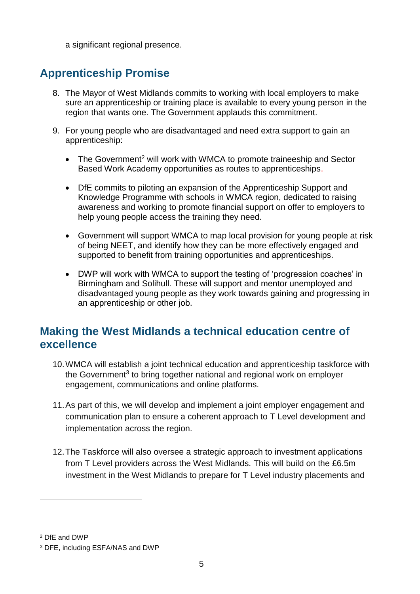a significant regional presence.

## <span id="page-4-0"></span>**Apprenticeship Promise**

- 8. The Mayor of West Midlands commits to working with local employers to make sure an apprenticeship or training place is available to every young person in the region that wants one. The Government applauds this commitment.
- 9. For young people who are disadvantaged and need extra support to gain an apprenticeship:
	- The Government<sup>2</sup> will work with WMCA to promote traineeship and Sector Based Work Academy opportunities as routes to apprenticeships.
	- DfE commits to piloting an expansion of the Apprenticeship Support and Knowledge Programme with schools in WMCA region, dedicated to raising awareness and working to promote financial support on offer to employers to help young people access the training they need.
	- Government will support WMCA to map local provision for young people at risk of being NEET, and identify how they can be more effectively engaged and supported to benefit from training opportunities and apprenticeships.
	- DWP will work with WMCA to support the testing of 'progression coaches' in Birmingham and Solihull. These will support and mentor unemployed and disadvantaged young people as they work towards gaining and progressing in an apprenticeship or other job.

#### <span id="page-4-1"></span>**Making the West Midlands a technical education centre of excellence**

- 10.WMCA will establish a joint technical education and apprenticeship taskforce with the Government<sup>3</sup> to bring together national and regional work on employer engagement, communications and online platforms.
- 11.As part of this, we will develop and implement a joint employer engagement and communication plan to ensure a coherent approach to T Level development and implementation across the region.
- 12.The Taskforce will also oversee a strategic approach to investment applications from T Level providers across the West Midlands. This will build on the £6.5m investment in the West Midlands to prepare for T Level industry placements and

-

<sup>2</sup> DfE and DWP

<sup>3</sup> DFE, including ESFA/NAS and DWP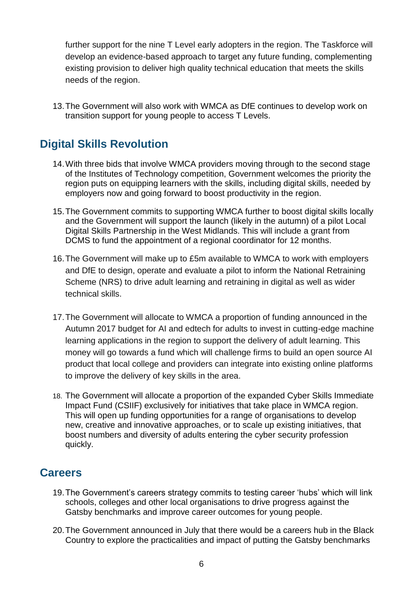further support for the nine T Level early adopters in the region. The Taskforce will develop an evidence-based approach to target any future funding, complementing existing provision to deliver high quality technical education that meets the skills needs of the region.

13.The Government will also work with WMCA as DfE continues to develop work on transition support for young people to access T Levels.

#### <span id="page-5-0"></span>**Digital Skills Revolution**

- 14.With three bids that involve WMCA providers moving through to the second stage of the Institutes of Technology competition, Government welcomes the priority the region puts on equipping learners with the skills, including digital skills, needed by employers now and going forward to boost productivity in the region.
- 15.The Government commits to supporting WMCA further to boost digital skills locally and the Government will support the launch (likely in the autumn) of a pilot Local Digital Skills Partnership in the West Midlands. This will include a grant from DCMS to fund the appointment of a regional coordinator for 12 months.
- 16.The Government will make up to £5m available to WMCA to work with employers and DfE to design, operate and evaluate a pilot to inform the National Retraining Scheme (NRS) to drive adult learning and retraining in digital as well as wider technical skills.
- 17.The Government will allocate to WMCA a proportion of funding announced in the Autumn 2017 budget for AI and edtech for adults to invest in cutting-edge machine learning applications in the region to support the delivery of adult learning. This money will go towards a fund which will challenge firms to build an open source AI product that local college and providers can integrate into existing online platforms to improve the delivery of key skills in the area.
- 18. The Government will allocate a proportion of the expanded Cyber Skills Immediate Impact Fund (CSIIF) exclusively for initiatives that take place in WMCA region. This will open up funding opportunities for a range of organisations to develop new, creative and innovative approaches, or to scale up existing initiatives, that boost numbers and diversity of adults entering the cyber security profession quickly.

#### <span id="page-5-1"></span>**Careers**

- 19.The Government's careers strategy commits to testing career 'hubs' which will link schools, colleges and other local organisations to drive progress against the Gatsby benchmarks and improve career outcomes for young people.
- 20.The Government announced in July that there would be a careers hub in the Black Country to explore the practicalities and impact of putting the Gatsby benchmarks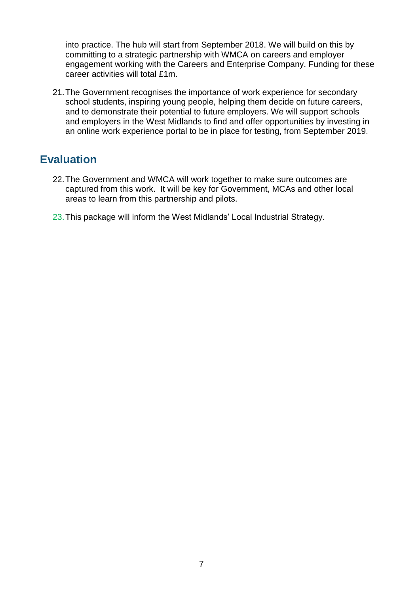into practice. The hub will start from September 2018. We will build on this by committing to a strategic partnership with WMCA on careers and employer engagement working with the Careers and Enterprise Company. Funding for these career activities will total £1m.

21.The Government recognises the importance of work experience for secondary school students, inspiring young people, helping them decide on future careers, and to demonstrate their potential to future employers. We will support schools and employers in the West Midlands to find and offer opportunities by investing in an online work experience portal to be in place for testing, from September 2019.

#### <span id="page-6-0"></span>**Evaluation**

- 22.The Government and WMCA will work together to make sure outcomes are captured from this work. It will be key for Government, MCAs and other local areas to learn from this partnership and pilots.
- 23.This package will inform the West Midlands' Local Industrial Strategy.